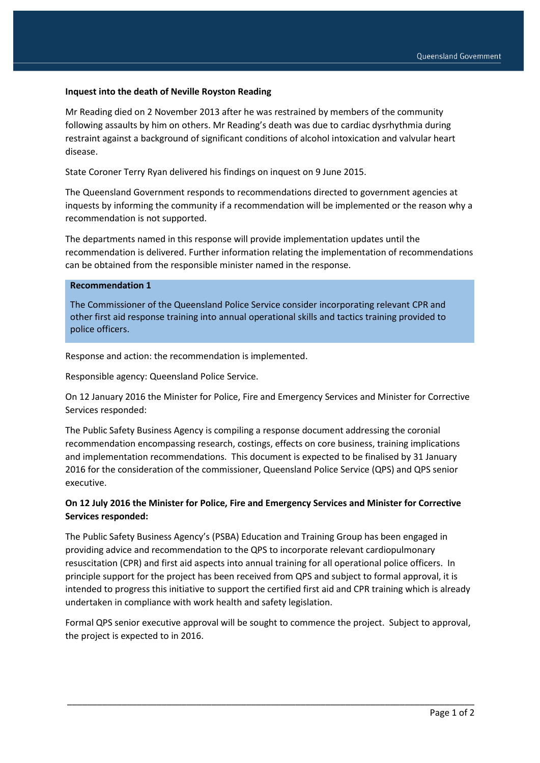### **Inquest into the death of Neville Royston Reading**

Mr Reading died on 2 November 2013 after he was restrained by members of the community following assaults by him on others. Mr Reading's death was due to cardiac dysrhythmia during restraint against a background of significant conditions of alcohol intoxication and valvular heart disease.

State Coroner Terry Ryan delivered his findings on inquest on 9 June 2015.

The Queensland Government responds to recommendations directed to government agencies at inquests by informing the community if a recommendation will be implemented or the reason why a recommendation is not supported.

The departments named in this response will provide implementation updates until the recommendation is delivered. Further information relating the implementation of recommendations can be obtained from the responsible minister named in the response.

### **Recommendation 1**

The Commissioner of the Queensland Police Service consider incorporating relevant CPR and other first aid response training into annual operational skills and tactics training provided to police officers.

Response and action: the recommendation is implemented.

Responsible agency: Queensland Police Service.

On 12 January 2016 the Minister for Police, Fire and Emergency Services and Minister for Corrective Services responded:

The Public Safety Business Agency is compiling a response document addressing the coronial recommendation encompassing research, costings, effects on core business, training implications and implementation recommendations. This document is expected to be finalised by 31 January 2016 for the consideration of the commissioner, Queensland Police Service (QPS) and QPS senior executive.

## **On 12 July 2016 the Minister for Police, Fire and Emergency Services and Minister for Corrective Services responded:**

The Public Safety Business Agency's (PSBA) Education and Training Group has been engaged in providing advice and recommendation to the QPS to incorporate relevant cardiopulmonary resuscitation (CPR) and first aid aspects into annual training for all operational police officers. In principle support for the project has been received from QPS and subject to formal approval, it is intended to progress this initiative to support the certified first aid and CPR training which is already undertaken in compliance with work health and safety legislation.

Formal QPS senior executive approval will be sought to commence the project. Subject to approval, the project is expected to in 2016.

\_\_\_\_\_\_\_\_\_\_\_\_\_\_\_\_\_\_\_\_\_\_\_\_\_\_\_\_\_\_\_\_\_\_\_\_\_\_\_\_\_\_\_\_\_\_\_\_\_\_\_\_\_\_\_\_\_\_\_\_\_\_\_\_\_\_\_\_\_\_\_\_\_\_\_\_\_\_\_\_\_\_